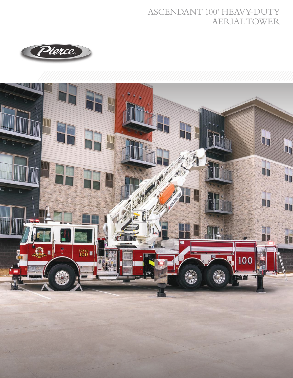## ASCENDANT 100' HEAVY-DUTY AERIAL TOWER